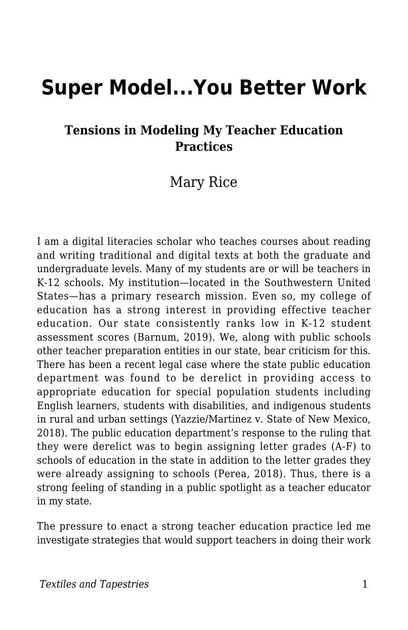# **Super Model...You Better Work**

#### **Tensions in Modeling My Teacher Education Practices**

### Mary Rice

I am a digital literacies scholar who teaches courses about reading and writing traditional and digital texts at both the graduate and undergraduate levels. Many of my students are or will be teachers in K-12 schools. My institution—located in the Southwestern United States—has a primary research mission. Even so, my college of education has a strong interest in providing effective teacher education. Our state consistently ranks low in K-12 student assessment scores (Barnum, 2019). We, along with public schools other teacher preparation entities in our state, bear criticism for this. There has been a recent legal case where the state public education department was found to be derelict in providing access to appropriate education for special population students including English learners, students with disabilities, and indigenous students in rural and urban settings (Yazzie/Martinez v. State of New Mexico, 2018). The public education department's response to the ruling that they were derelict was to begin assigning letter grades (A-F) to schools of education in the state in addition to the letter grades they were already assigning to schools (Perea, 2018). Thus, there is a strong feeling of standing in a public spotlight as a teacher educator in my state.

The pressure to enact a strong teacher education practice led me investigate strategies that would support teachers in doing their work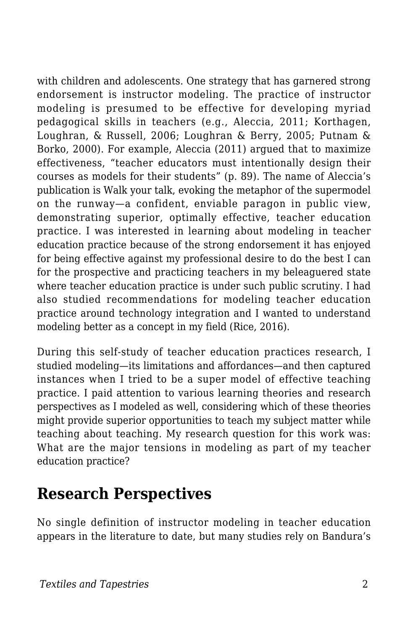with children and adolescents. One strategy that has garnered strong endorsement is instructor modeling. The practice of instructor modeling is presumed to be effective for developing myriad pedagogical skills in teachers (e.g., Aleccia, 2011; Korthagen, Loughran, & Russell, 2006; Loughran & Berry, 2005; Putnam & Borko, 2000). For example, Aleccia (2011) argued that to maximize effectiveness, "teacher educators must intentionally design their courses as models for their students" (p. 89). The name of Aleccia's publication is Walk your talk, evoking the metaphor of the supermodel on the runway—a confident, enviable paragon in public view, demonstrating superior, optimally effective, teacher education practice. I was interested in learning about modeling in teacher education practice because of the strong endorsement it has enjoyed for being effective against my professional desire to do the best I can for the prospective and practicing teachers in my beleaguered state where teacher education practice is under such public scrutiny. I had also studied recommendations for modeling teacher education practice around technology integration and I wanted to understand modeling better as a concept in my field (Rice, 2016).

During this self-study of teacher education practices research, I studied modeling—its limitations and affordances—and then captured instances when I tried to be a super model of effective teaching practice. I paid attention to various learning theories and research perspectives as I modeled as well, considering which of these theories might provide superior opportunities to teach my subject matter while teaching about teaching. My research question for this work was: What are the major tensions in modeling as part of my teacher education practice?

### **Research Perspectives**

No single definition of instructor modeling in teacher education appears in the literature to date, but many studies rely on Bandura's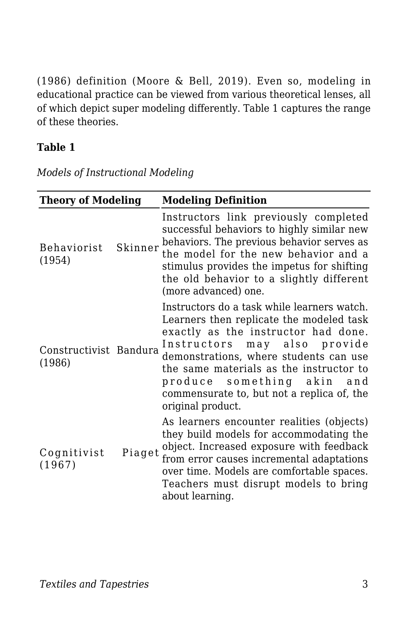(1986) definition (Moore & Bell, 2019). Even so, modeling in educational practice can be viewed from various theoretical lenses, all of which depict super modeling differently. Table 1 captures the range of these theories.

#### **Table 1**

| <b>Theory of Modeling</b>        |         | <b>Modeling Definition</b>                                                                                                                                                                                                                                                                                                                              |  |
|----------------------------------|---------|---------------------------------------------------------------------------------------------------------------------------------------------------------------------------------------------------------------------------------------------------------------------------------------------------------------------------------------------------------|--|
| Behaviorist<br>(1954)            | Skinner | Instructors link previously completed<br>successful behaviors to highly similar new<br>behaviors. The previous behavior serves as<br>the model for the new behavior and a<br>stimulus provides the impetus for shifting<br>the old behavior to a slightly different<br>(more advanced) one.                                                             |  |
| Constructivist Bandura<br>(1986) |         | Instructors do a task while learners watch.<br>Learners then replicate the modeled task<br>exactly as the instructor had done.<br>Instructors may also provide<br>demonstrations, where students can use<br>the same materials as the instructor to<br>produce something akin<br>and<br>commensurate to, but not a replica of, the<br>original product. |  |
| Cognitivist<br>(1967)            | Piaget  | As learners encounter realities (objects)<br>they build models for accommodating the<br>object. Increased exposure with feedback<br>from error causes incremental adaptations<br>over time. Models are comfortable spaces.<br>Teachers must disrupt models to bring<br>about learning.                                                                  |  |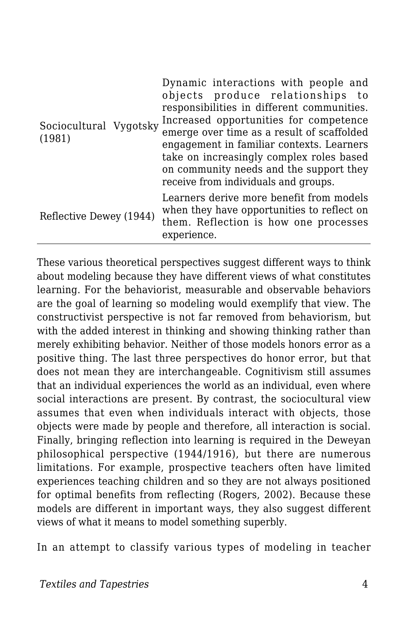| Sociocultural Vygotsky<br>(1981) | Dynamic interactions with people and<br>objects produce relationships to<br>responsibilities in different communities.<br>Increased opportunities for competence<br>emerge over time as a result of scaffolded<br>engagement in familiar contexts. Learners<br>take on increasingly complex roles based<br>on community needs and the support they<br>receive from individuals and groups. |
|----------------------------------|--------------------------------------------------------------------------------------------------------------------------------------------------------------------------------------------------------------------------------------------------------------------------------------------------------------------------------------------------------------------------------------------|
| Reflective Dewey (1944)          | Learners derive more benefit from models<br>when they have opportunities to reflect on<br>them. Reflection is how one processes<br>experience.                                                                                                                                                                                                                                             |

These various theoretical perspectives suggest different ways to think about modeling because they have different views of what constitutes learning. For the behaviorist, measurable and observable behaviors are the goal of learning so modeling would exemplify that view. The constructivist perspective is not far removed from behaviorism, but with the added interest in thinking and showing thinking rather than merely exhibiting behavior. Neither of those models honors error as a positive thing. The last three perspectives do honor error, but that does not mean they are interchangeable. Cognitivism still assumes that an individual experiences the world as an individual, even where social interactions are present. By contrast, the sociocultural view assumes that even when individuals interact with objects, those objects were made by people and therefore, all interaction is social. Finally, bringing reflection into learning is required in the Deweyan philosophical perspective (1944/1916), but there are numerous limitations. For example, prospective teachers often have limited experiences teaching children and so they are not always positioned for optimal benefits from reflecting (Rogers, 2002). Because these models are different in important ways, they also suggest different views of what it means to model something superbly.

In an attempt to classify various types of modeling in teacher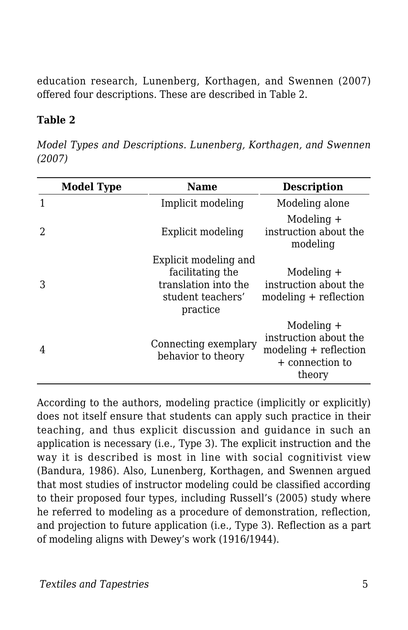education research, Lunenberg, Korthagen, and Swennen (2007) offered four descriptions. These are described in Table 2.

#### **Table 2**

*Model Types and Descriptions. Lunenberg, Korthagen, and Swennen (2007)* 

|   | <b>Model Type</b> | Name                                                                                               | <b>Description</b>                                                                          |
|---|-------------------|----------------------------------------------------------------------------------------------------|---------------------------------------------------------------------------------------------|
|   |                   | Implicit modeling                                                                                  | Modeling alone                                                                              |
|   |                   | Explicit modeling                                                                                  | Modeling $+$<br>instruction about the<br>modeling                                           |
|   |                   | Explicit modeling and<br>facilitating the<br>translation into the<br>student teachers'<br>practice | Modeling +<br>instruction about the<br>$modeling + reflection$                              |
| 4 |                   | Connecting exemplary<br>behavior to theory                                                         | Modeling +<br>instruction about the<br>$modeling + reflection$<br>+ connection to<br>theory |

According to the authors, modeling practice (implicitly or explicitly) does not itself ensure that students can apply such practice in their teaching, and thus explicit discussion and guidance in such an application is necessary (i.e., Type 3). The explicit instruction and the way it is described is most in line with social cognitivist view (Bandura, 1986). Also, Lunenberg, Korthagen, and Swennen argued that most studies of instructor modeling could be classified according to their proposed four types, including Russell's (2005) study where he referred to modeling as a procedure of demonstration, reflection, and projection to future application (i.e., Type 3). Reflection as a part of modeling aligns with Dewey's work (1916/1944).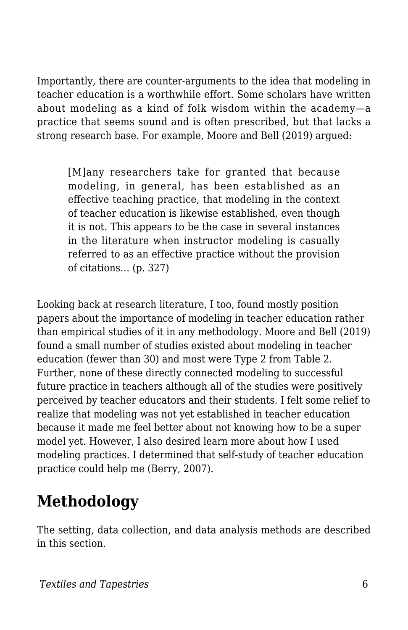Importantly, there are counter-arguments to the idea that modeling in teacher education is a worthwhile effort. Some scholars have written about modeling as a kind of folk wisdom within the academy—a practice that seems sound and is often prescribed, but that lacks a strong research base. For example, Moore and Bell (2019) argued:

[M]any researchers take for granted that because modeling, in general, has been established as an effective teaching practice, that modeling in the context of teacher education is likewise established, even though it is not. This appears to be the case in several instances in the literature when instructor modeling is casually referred to as an effective practice without the provision of citations… (p. 327)

Looking back at research literature, I too, found mostly position papers about the importance of modeling in teacher education rather than empirical studies of it in any methodology. Moore and Bell (2019) found a small number of studies existed about modeling in teacher education (fewer than 30) and most were Type 2 from Table 2. Further, none of these directly connected modeling to successful future practice in teachers although all of the studies were positively perceived by teacher educators and their students. I felt some relief to realize that modeling was not yet established in teacher education because it made me feel better about not knowing how to be a super model yet. However, I also desired learn more about how I used modeling practices. I determined that self-study of teacher education practice could help me (Berry, 2007).

## **Methodology**

The setting, data collection, and data analysis methods are described in this section.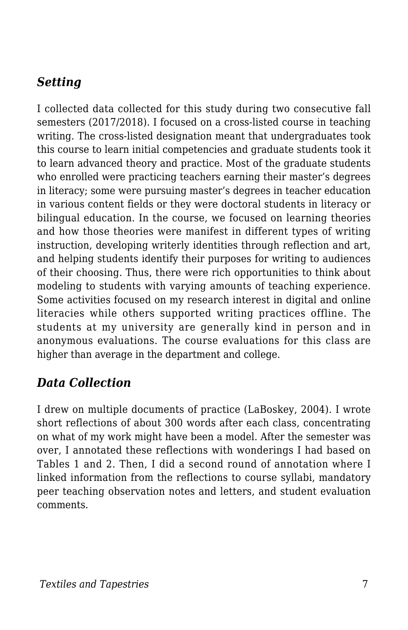### *Setting*

I collected data collected for this study during two consecutive fall semesters (2017/2018). I focused on a cross-listed course in teaching writing. The cross-listed designation meant that undergraduates took this course to learn initial competencies and graduate students took it to learn advanced theory and practice. Most of the graduate students who enrolled were practicing teachers earning their master's degrees in literacy; some were pursuing master's degrees in teacher education in various content fields or they were doctoral students in literacy or bilingual education. In the course, we focused on learning theories and how those theories were manifest in different types of writing instruction, developing writerly identities through reflection and art, and helping students identify their purposes for writing to audiences of their choosing. Thus, there were rich opportunities to think about modeling to students with varying amounts of teaching experience. Some activities focused on my research interest in digital and online literacies while others supported writing practices offline. The students at my university are generally kind in person and in anonymous evaluations. The course evaluations for this class are higher than average in the department and college.

#### *Data Collection*

I drew on multiple documents of practice (LaBoskey, 2004). I wrote short reflections of about 300 words after each class, concentrating on what of my work might have been a model. After the semester was over, I annotated these reflections with wonderings I had based on Tables 1 and 2. Then, I did a second round of annotation where I linked information from the reflections to course syllabi, mandatory peer teaching observation notes and letters, and student evaluation comments.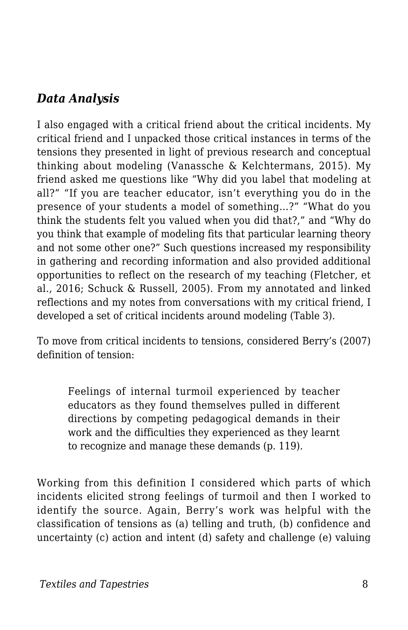#### *Data Analysis*

I also engaged with a critical friend about the critical incidents. My critical friend and I unpacked those critical instances in terms of the tensions they presented in light of previous research and conceptual thinking about modeling (Vanassche & Kelchtermans, 2015). My friend asked me questions like "Why did you label that modeling at all?" "If you are teacher educator, isn't everything you do in the presence of your students a model of something…?" "What do you think the students felt you valued when you did that?," and "Why do you think that example of modeling fits that particular learning theory and not some other one?" Such questions increased my responsibility in gathering and recording information and also provided additional opportunities to reflect on the research of my teaching (Fletcher, et al., 2016; Schuck & Russell, 2005). From my annotated and linked reflections and my notes from conversations with my critical friend, I developed a set of critical incidents around modeling (Table 3).

To move from critical incidents to tensions, considered Berry's (2007) definition of tension:

Feelings of internal turmoil experienced by teacher educators as they found themselves pulled in different directions by competing pedagogical demands in their work and the difficulties they experienced as they learnt to recognize and manage these demands (p. 119).

Working from this definition I considered which parts of which incidents elicited strong feelings of turmoil and then I worked to identify the source. Again, Berry's work was helpful with the classification of tensions as (a) telling and truth, (b) confidence and uncertainty (c) action and intent (d) safety and challenge (e) valuing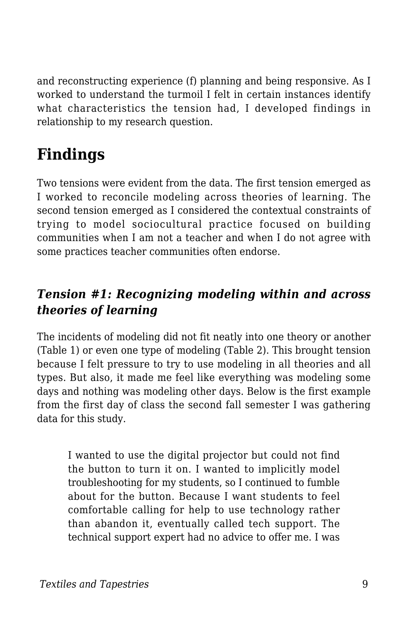and reconstructing experience (f) planning and being responsive. As I worked to understand the turmoil I felt in certain instances identify what characteristics the tension had, I developed findings in relationship to my research question.

## **Findings**

Two tensions were evident from the data. The first tension emerged as I worked to reconcile modeling across theories of learning. The second tension emerged as I considered the contextual constraints of trying to model sociocultural practice focused on building communities when I am not a teacher and when I do not agree with some practices teacher communities often endorse.

### *Tension #1: Recognizing modeling within and across theories of learning*

The incidents of modeling did not fit neatly into one theory or another (Table 1) or even one type of modeling (Table 2). This brought tension because I felt pressure to try to use modeling in all theories and all types. But also, it made me feel like everything was modeling some days and nothing was modeling other days. Below is the first example from the first day of class the second fall semester I was gathering data for this study.

I wanted to use the digital projector but could not find the button to turn it on. I wanted to implicitly model troubleshooting for my students, so I continued to fumble about for the button. Because I want students to feel comfortable calling for help to use technology rather than abandon it, eventually called tech support. The technical support expert had no advice to offer me. I was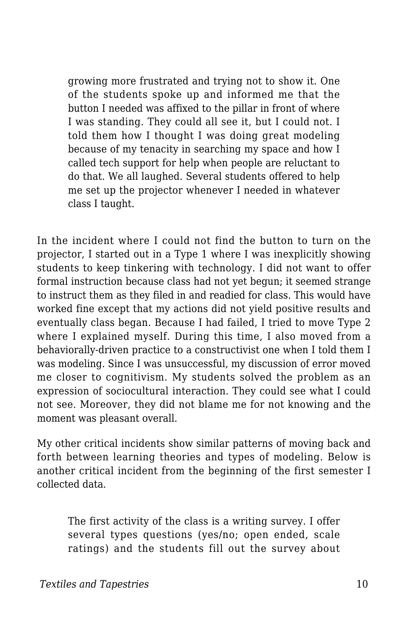growing more frustrated and trying not to show it. One of the students spoke up and informed me that the button I needed was affixed to the pillar in front of where I was standing. They could all see it, but I could not. I told them how I thought I was doing great modeling because of my tenacity in searching my space and how I called tech support for help when people are reluctant to do that. We all laughed. Several students offered to help me set up the projector whenever I needed in whatever class I taught.

In the incident where I could not find the button to turn on the projector, I started out in a Type 1 where I was inexplicitly showing students to keep tinkering with technology. I did not want to offer formal instruction because class had not yet begun; it seemed strange to instruct them as they filed in and readied for class. This would have worked fine except that my actions did not yield positive results and eventually class began. Because I had failed, I tried to move Type 2 where I explained myself. During this time, I also moved from a behaviorally-driven practice to a constructivist one when I told them I was modeling. Since I was unsuccessful, my discussion of error moved me closer to cognitivism. My students solved the problem as an expression of sociocultural interaction. They could see what I could not see. Moreover, they did not blame me for not knowing and the moment was pleasant overall.

My other critical incidents show similar patterns of moving back and forth between learning theories and types of modeling. Below is another critical incident from the beginning of the first semester I collected data.

The first activity of the class is a writing survey. I offer several types questions (yes/no; open ended, scale ratings) and the students fill out the survey about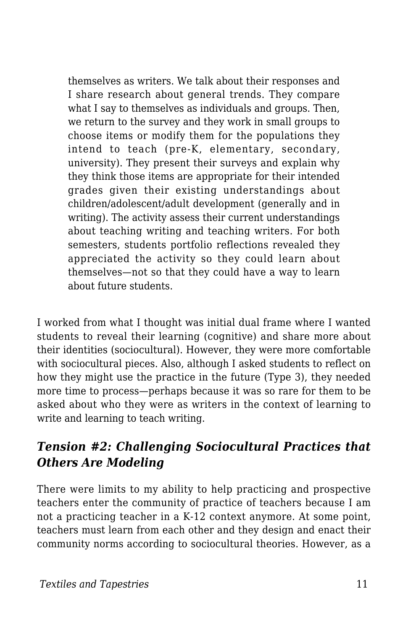themselves as writers. We talk about their responses and I share research about general trends. They compare what I say to themselves as individuals and groups. Then, we return to the survey and they work in small groups to choose items or modify them for the populations they intend to teach (pre-K, elementary, secondary, university). They present their surveys and explain why they think those items are appropriate for their intended grades given their existing understandings about children/adolescent/adult development (generally and in writing). The activity assess their current understandings about teaching writing and teaching writers. For both semesters, students portfolio reflections revealed they appreciated the activity so they could learn about themselves—not so that they could have a way to learn about future students.

I worked from what I thought was initial dual frame where I wanted students to reveal their learning (cognitive) and share more about their identities (sociocultural). However, they were more comfortable with sociocultural pieces. Also, although I asked students to reflect on how they might use the practice in the future (Type 3), they needed more time to process—perhaps because it was so rare for them to be asked about who they were as writers in the context of learning to write and learning to teach writing.

### *Tension #2: Challenging Sociocultural Practices that Others Are Modeling*

There were limits to my ability to help practicing and prospective teachers enter the community of practice of teachers because I am not a practicing teacher in a K-12 context anymore. At some point, teachers must learn from each other and they design and enact their community norms according to sociocultural theories. However, as a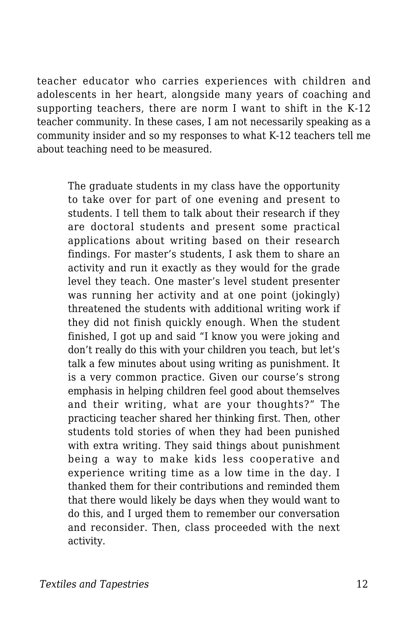teacher educator who carries experiences with children and adolescents in her heart, alongside many years of coaching and supporting teachers, there are norm I want to shift in the K-12 teacher community. In these cases, I am not necessarily speaking as a community insider and so my responses to what K-12 teachers tell me about teaching need to be measured.

The graduate students in my class have the opportunity to take over for part of one evening and present to students. I tell them to talk about their research if they are doctoral students and present some practical applications about writing based on their research findings. For master's students, I ask them to share an activity and run it exactly as they would for the grade level they teach. One master's level student presenter was running her activity and at one point (jokingly) threatened the students with additional writing work if they did not finish quickly enough. When the student finished, I got up and said "I know you were joking and don't really do this with your children you teach, but let's talk a few minutes about using writing as punishment. It is a very common practice. Given our course's strong emphasis in helping children feel good about themselves and their writing, what are your thoughts?" The practicing teacher shared her thinking first. Then, other students told stories of when they had been punished with extra writing. They said things about punishment being a way to make kids less cooperative and experience writing time as a low time in the day. I thanked them for their contributions and reminded them that there would likely be days when they would want to do this, and I urged them to remember our conversation and reconsider. Then, class proceeded with the next activity.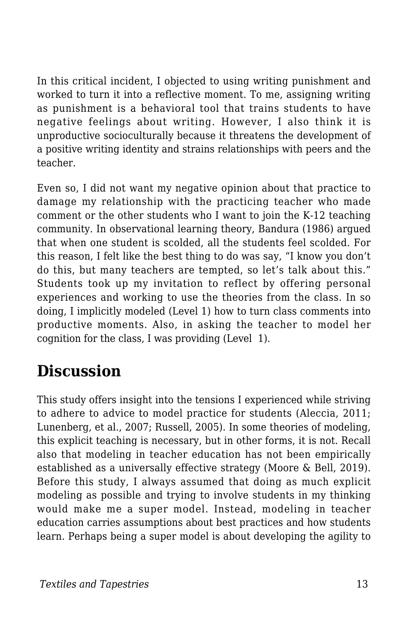In this critical incident, I objected to using writing punishment and worked to turn it into a reflective moment. To me, assigning writing as punishment is a behavioral tool that trains students to have negative feelings about writing. However, I also think it is unproductive socioculturally because it threatens the development of a positive writing identity and strains relationships with peers and the teacher.

Even so, I did not want my negative opinion about that practice to damage my relationship with the practicing teacher who made comment or the other students who I want to join the K-12 teaching community. In observational learning theory, Bandura (1986) argued that when one student is scolded, all the students feel scolded. For this reason, I felt like the best thing to do was say, "I know you don't do this, but many teachers are tempted, so let's talk about this." Students took up my invitation to reflect by offering personal experiences and working to use the theories from the class. In so doing, I implicitly modeled (Level 1) how to turn class comments into productive moments. Also, in asking the teacher to model her cognition for the class, I was providing (Level 1).

### **Discussion**

This study offers insight into the tensions I experienced while striving to adhere to advice to model practice for students (Aleccia, 2011; Lunenberg, et al., 2007; Russell, 2005). In some theories of modeling, this explicit teaching is necessary, but in other forms, it is not. Recall also that modeling in teacher education has not been empirically established as a universally effective strategy (Moore & Bell, 2019). Before this study, I always assumed that doing as much explicit modeling as possible and trying to involve students in my thinking would make me a super model. Instead, modeling in teacher education carries assumptions about best practices and how students learn. Perhaps being a super model is about developing the agility to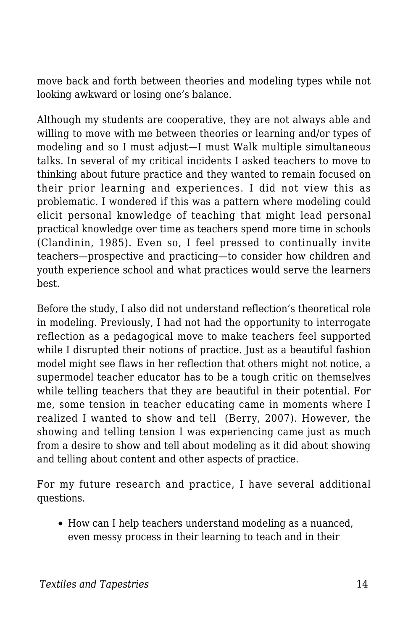move back and forth between theories and modeling types while not looking awkward or losing one's balance.

Although my students are cooperative, they are not always able and willing to move with me between theories or learning and/or types of modeling and so I must adjust—I must Walk multiple simultaneous talks. In several of my critical incidents I asked teachers to move to thinking about future practice and they wanted to remain focused on their prior learning and experiences. I did not view this as problematic. I wondered if this was a pattern where modeling could elicit personal knowledge of teaching that might lead personal practical knowledge over time as teachers spend more time in schools (Clandinin, 1985). Even so, I feel pressed to continually invite teachers—prospective and practicing—to consider how children and youth experience school and what practices would serve the learners best.

Before the study, I also did not understand reflection's theoretical role in modeling. Previously, I had not had the opportunity to interrogate reflection as a pedagogical move to make teachers feel supported while I disrupted their notions of practice. Just as a beautiful fashion model might see flaws in her reflection that others might not notice, a supermodel teacher educator has to be a tough critic on themselves while telling teachers that they are beautiful in their potential. For me, some tension in teacher educating came in moments where I realized I wanted to show and tell (Berry, 2007). However, the showing and telling tension I was experiencing came just as much from a desire to show and tell about modeling as it did about showing and telling about content and other aspects of practice.

For my future research and practice, I have several additional questions.

How can I help teachers understand modeling as a nuanced, even messy process in their learning to teach and in their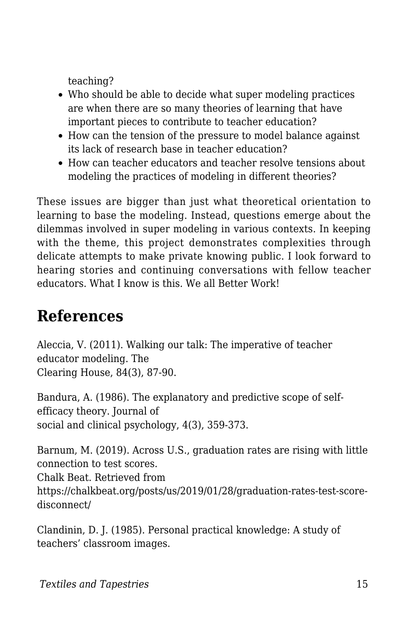teaching?

- Who should be able to decide what super modeling practices are when there are so many theories of learning that have important pieces to contribute to teacher education?
- How can the tension of the pressure to model balance against its lack of research base in teacher education?
- How can teacher educators and teacher resolve tensions about modeling the practices of modeling in different theories?

These issues are bigger than just what theoretical orientation to learning to base the modeling. Instead, questions emerge about the dilemmas involved in super modeling in various contexts. In keeping with the theme, this project demonstrates complexities through delicate attempts to make private knowing public. I look forward to hearing stories and continuing conversations with fellow teacher educators. What I know is this. We all Better Work!

### **References**

Aleccia, V. (2011). Walking our talk: The imperative of teacher educator modeling. The Clearing House, 84(3), 87-90.

Bandura, A. (1986). The explanatory and predictive scope of selfefficacy theory. Journal of social and clinical psychology, 4(3), 359-373.

Barnum, M. (2019). Across U.S., graduation rates are rising with little connection to test scores. Chalk Beat. Retrieved from https://chalkbeat.org/posts/us/2019/01/28/graduation-rates-test-scoredisconnect/

Clandinin, D. J. (1985). Personal practical knowledge: A study of teachers' classroom images.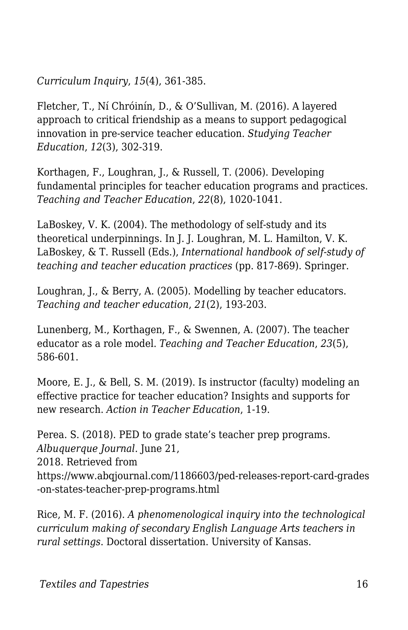*Curriculum Inquiry*, *15*(4), 361-385.

Fletcher, T., Ní Chróinín, D., & O'Sullivan, M. (2016). A layered approach to critical friendship as a means to support pedagogical innovation in pre-service teacher education. *Studying Teacher Education*, *12*(3), 302-319.

Korthagen, F., Loughran, J., & Russell, T. (2006). Developing fundamental principles for teacher education programs and practices. *Teaching and Teacher Education*, *22*(8), 1020-1041.

LaBoskey, V. K. (2004). The methodology of self-study and its theoretical underpinnings. In J. J. Loughran, M. L. Hamilton, V. K. LaBoskey, & T. Russell (Eds.), *International handbook of self-study of teaching and teacher education practices* (pp. 817-869). Springer.

Loughran, J., & Berry, A. (2005). Modelling by teacher educators. *Teaching and teacher education*, *21*(2), 193-203.

Lunenberg, M., Korthagen, F., & Swennen, A. (2007). The teacher educator as a role model. *Teaching and Teacher Education*, *23*(5), 586-601.

Moore, E. J., & Bell, S. M. (2019). Is instructor (faculty) modeling an effective practice for teacher education? Insights and supports for new research. *Action in Teacher Education*, 1-19.

Perea. S. (2018). PED to grade state's teacher prep programs. *Albuquerque Journal*. June 21, 2018. Retrieved from https://www.abqjournal.com/1186603/ped-releases-report-card-grades -on-states-teacher-prep-programs.html

Rice, M. F. (2016). *A phenomenological inquiry into the technological curriculum making of secondary English Language Arts teachers in rural settings*. Doctoral dissertation. University of Kansas.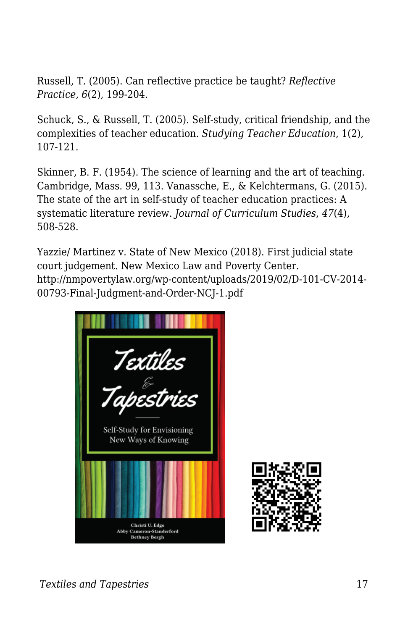Russell, T. (2005). Can reflective practice be taught? *Reflective Practice*, *6*(2), 199-204.

Schuck, S., & Russell, T. (2005). Self-study, critical friendship, and the complexities of teacher education. *Studying Teacher Education*, 1(2), 107-121.

Skinner, B. F. (1954). The science of learning and the art of teaching. Cambridge, Mass. 99, 113. Vanassche, E., & Kelchtermans, G. (2015). The state of the art in self-study of teacher education practices: A systematic literature review. *Journal of Curriculum Studies*, *47*(4), 508-528.

Yazzie/ Martinez v. State of New Mexico (2018). First judicial state court judgement. New Mexico Law and Poverty Center. http://nmpovertylaw.org/wp-content/uploads/2019/02/D-101-CV-2014- 00793-Final-Judgment-and-Order-NCJ-1.pdf